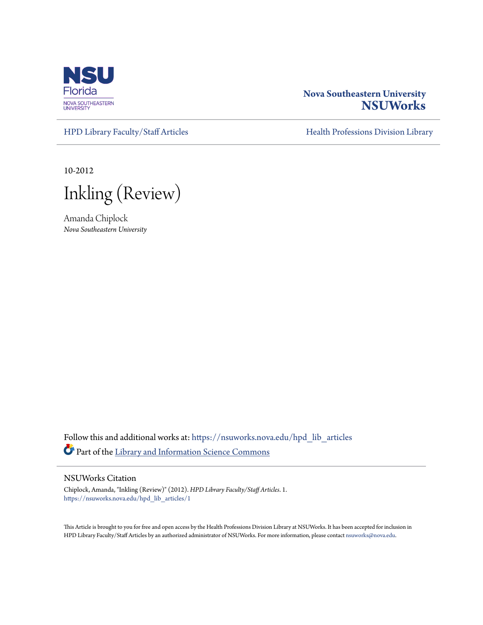

# **Nova Southeastern University [NSUWorks](https://nsuworks.nova.edu?utm_source=nsuworks.nova.edu%2Fhpd_lib_articles%2F1&utm_medium=PDF&utm_campaign=PDFCoverPages)**

[HPD Library Faculty/Staff Articles](https://nsuworks.nova.edu/hpd_lib_articles?utm_source=nsuworks.nova.edu%2Fhpd_lib_articles%2F1&utm_medium=PDF&utm_campaign=PDFCoverPages) [Health Professions Division Library](https://nsuworks.nova.edu/hpd_lib?utm_source=nsuworks.nova.edu%2Fhpd_lib_articles%2F1&utm_medium=PDF&utm_campaign=PDFCoverPages)

10-2012

Inkling (Review)

Amanda Chiplock *Nova Southeastern University*

Follow this and additional works at: [https://nsuworks.nova.edu/hpd\\_lib\\_articles](https://nsuworks.nova.edu/hpd_lib_articles?utm_source=nsuworks.nova.edu%2Fhpd_lib_articles%2F1&utm_medium=PDF&utm_campaign=PDFCoverPages) Part of the [Library and Information Science Commons](http://network.bepress.com/hgg/discipline/1018?utm_source=nsuworks.nova.edu%2Fhpd_lib_articles%2F1&utm_medium=PDF&utm_campaign=PDFCoverPages)

### NSUWorks Citation

Chiplock, Amanda, "Inkling (Review)" (2012). *HPD Library Faculty/Staff Articles*. 1. [https://nsuworks.nova.edu/hpd\\_lib\\_articles/1](https://nsuworks.nova.edu/hpd_lib_articles/1?utm_source=nsuworks.nova.edu%2Fhpd_lib_articles%2F1&utm_medium=PDF&utm_campaign=PDFCoverPages)

This Article is brought to you for free and open access by the Health Professions Division Library at NSUWorks. It has been accepted for inclusion in HPD Library Faculty/Staff Articles by an authorized administrator of NSUWorks. For more information, please contact [nsuworks@nova.edu](mailto:nsuworks@nova.edu).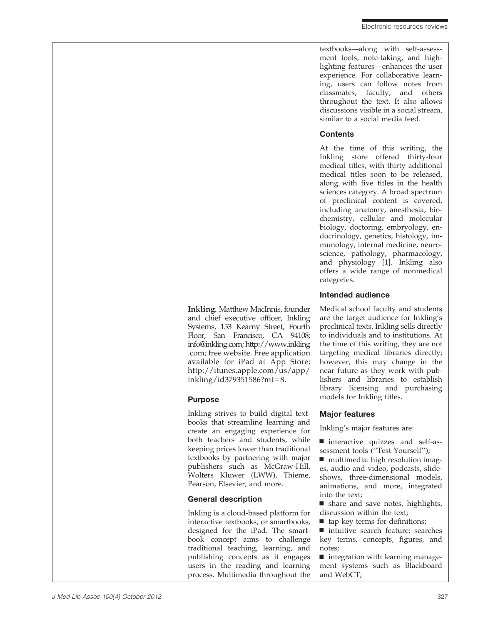textbooks—along with self-assessment tools, note-taking, and highlighting features—enhances the user experience. For collaborative learning, users can follow notes from classmates, faculty, and others throughout the text. It also allows discussions visible in a social stream, similar to a social media feed.

### **Contents**

At the time of this writing, the Inkling store offered thirty-four medical titles, with thirty additional medical titles soon to be released, along with five titles in the health sciences category. A broad spectrum of preclinical content is covered, including anatomy, anesthesia, biochemistry, cellular and molecular biology, doctoring, embryology, endocrinology, genetics, histology, immunology, internal medicine, neuroscience, pathology, pharmacology, and physiology [1]. Inkling also offers a wide range of nonmedical categories.

## Intended audience

Medical school faculty and students are the target audience for Inkling's preclinical texts. Inkling sells directly to individuals and to institutions. At the time of this writing, they are not targeting medical libraries directly; however, this may change in the near future as they work with publishers and libraries to establish library licensing and purchasing models for Inkling titles.

# Major features

Inkling's major features are:

& interactive quizzes and self-assessment tools (''Test Yourself'');

■ multimedia: high resolution images, audio and video, podcasts, slideshows, three-dimensional models, animations, and more, integrated into the text;

 $\blacksquare$  share and save notes, highlights, discussion within the text;

 $\blacksquare$  tap key terms for definitions;

■ intuitive search feature: searches key terms, concepts, figures, and notes;

 $\blacksquare$  integration with learning management systems such as Blackboard and WebCT;

Inkling. Matthew MacInnis, founder and chief executive officer, Inkling Systems, 153 Kearny Street, Fourth Floor, San Francisco, CA 94108; info@inkling.com; http://www.inkling .com; free website. Free application available for iPad at App Store; http://itunes.apple.com/us/app/  $inkling/id379351586?mt=8.$ 

### Purpose

Inkling strives to build digital textbooks that streamline learning and create an engaging experience for both teachers and students, while keeping prices lower than traditional textbooks by partnering with major publishers such as McGraw-Hill, Wolters Kluwer (LWW), Thieme, Pearson, Elsevier, and more.

# General description

Inkling is a cloud-based platform for interactive textbooks, or smartbooks, designed for the iPad. The smartbook concept aims to challenge traditional teaching, learning, and publishing concepts as it engages users in the reading and learning process. Multimedia throughout the